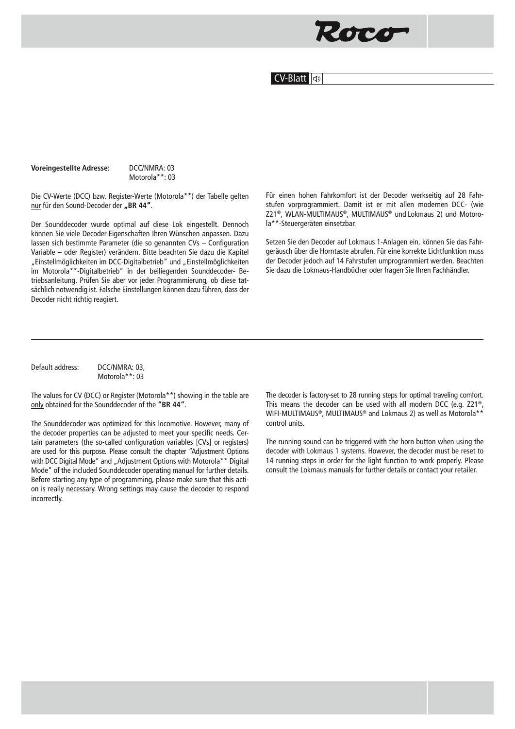## Roco

## CV-Blatt **o**

## **Voreingestellte Adresse:** DCC/NMRA: 03

Motorola\*\*: 03

Die CV-Werte (DCC) bzw. Register-Werte (Motorola\*\*) der Tabelle gelten nur für den Sound-Decoder der "BR 44".

Der Sounddecoder wurde optimal auf diese Lok eingestellt. Dennoch können Sie viele Decoder-Eigenschaften Ihren Wünschen anpassen. Dazu lassen sich bestimmte Parameter (die so genannten CVs – Configuration Variable – oder Register) verändern. Bitte beachten Sie dazu die Kapitel "Einstellmöglichkeiten im DCC-Digitalbetrieb" und "Einstellmöglichkeiten im Motorola\*\*-Digitalbetrieb" in der beiliegenden Sounddecoder- Betriebsanleitung. Prüfen Sie aber vor jeder Programmierung, ob diese tatsächlich notwendig ist. Falsche Einstellungen können dazu führen, dass der Decoder nicht richtig reagiert.

Für einen hohen Fahrkomfort ist der Decoder werkseitig auf 28 Fahrstufen vorprogrammiert. Damit ist er mit allen modernen DCC- (wie Z21®, WLAN-MULTIMAUS®, MULTIMAUS® und Lokmaus 2) und Motorola\*\*-Steuergeräten einsetzbar.

Setzen Sie den Decoder auf Lokmaus 1-Anlagen ein, können Sie das Fahrgeräusch über die Horntaste abrufen. Für eine korrekte Lichtfunktion muss der Decoder jedoch auf 14 Fahrstufen umprogrammiert werden. Beachten Sie dazu die Lokmaus-Handbücher oder fragen Sie Ihren Fachhändler.

Default address: DCC/NMRA: 03, Motorola\*\*: 03

The values for CV (DCC) or Register (Motorola\*\*) showing in the table are only obtained for the Sounddecoder of the **"BR 44"**.

The Sounddecoder was optimized for this locomotive. However, many of the decoder properties can be adjusted to meet your specific needs. Certain parameters (the so-called configuration variables [CVs] or registers) are used for this purpose. Please consult the chapter "Adjustment Options with DCC Digital Mode" and "Adjustment Options with Motorola\*\* Digital Mode" of the included Sounddecoder operating manual for further details. Before starting any type of programming, please make sure that this action is really necessary. Wrong settings may cause the decoder to respond incorrectly.

The decoder is factory-set to 28 running steps for optimal traveling comfort. This means the decoder can be used with all modern DCC (e.g. Z21®, WIFI-MULTIMAUS®, MULTIMAUS® and Lokmaus 2) as well as Motorola\*\* control units.

The running sound can be triggered with the horn button when using the decoder with Lokmaus 1 systems. However, the decoder must be reset to 14 running steps in order for the light function to work properly. Please consult the Lokmaus manuals for further details or contact your retailer.